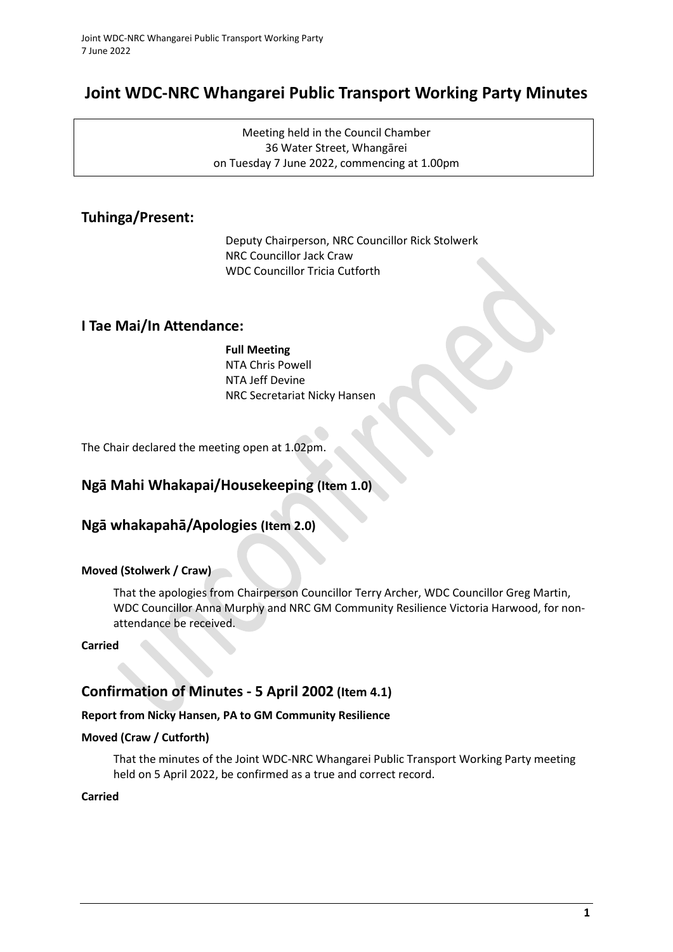# **Joint WDC-NRC Whangarei Public Transport Working Party Minutes**

Meeting held in the Council Chamber 36 Water Street, Whangārei on Tuesday 7 June 2022, commencing at 1.00pm

## **Tuhinga/Present:**

Deputy Chairperson, NRC Councillor Rick Stolwerk NRC Councillor Jack Craw WDC Councillor Tricia Cutforth

### **I Tae Mai/In Attendance:**

### **Full Meeting**

NTA Chris Powell NTA Jeff Devine NRC Secretariat Nicky Hansen

The Chair declared the meeting open at 1.02pm.

### **Ngā Mahi Whakapai/Housekeeping (Item 1.0)**

### **Ngā whakapahā/Apologies (Item 2.0)**

### **Moved (Stolwerk / Craw)**

That the apologies from Chairperson Councillor Terry Archer, WDC Councillor Greg Martin, WDC Councillor Anna Murphy and NRC GM Community Resilience Victoria Harwood, for nonattendance be received.

### **Carried**

### **Confirmation of Minutes - 5 April 2002 (Item 4.1)**

### **Report from Nicky Hansen, PA to GM Community Resilience**

### **Moved (Craw / Cutforth)**

That the minutes of the Joint WDC-NRC Whangarei Public Transport Working Party meeting held on 5 April 2022, be confirmed as a true and correct record.

### **Carried**